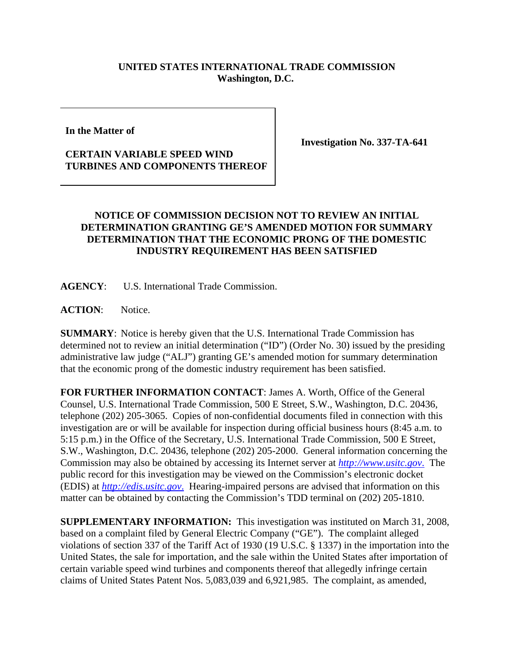## **UNITED STATES INTERNATIONAL TRADE COMMISSION Washington, D.C.**

**In the Matter of** 

## **CERTAIN VARIABLE SPEED WIND TURBINES AND COMPONENTS THEREOF**

**Investigation No. 337-TA-641**

## **NOTICE OF COMMISSION DECISION NOT TO REVIEW AN INITIAL DETERMINATION GRANTING GE'S AMENDED MOTION FOR SUMMARY DETERMINATION THAT THE ECONOMIC PRONG OF THE DOMESTIC INDUSTRY REQUIREMENT HAS BEEN SATISFIED**

**AGENCY**: U.S. International Trade Commission.

**ACTION**: Notice.

**SUMMARY**: Notice is hereby given that the U.S. International Trade Commission has determined not to review an initial determination ("ID") (Order No. 30) issued by the presiding administrative law judge ("ALJ") granting GE's amended motion for summary determination that the economic prong of the domestic industry requirement has been satisfied.

**FOR FURTHER INFORMATION CONTACT**: James A. Worth, Office of the General Counsel, U.S. International Trade Commission, 500 E Street, S.W., Washington, D.C. 20436, telephone (202) 205-3065. Copies of non-confidential documents filed in connection with this investigation are or will be available for inspection during official business hours (8:45 a.m. to 5:15 p.m.) in the Office of the Secretary, U.S. International Trade Commission, 500 E Street, S.W., Washington, D.C. 20436, telephone (202) 205-2000. General information concerning the Commission may also be obtained by accessing its Internet server at *http://www.usitc.gov*. The public record for this investigation may be viewed on the Commission's electronic docket (EDIS) at *http://edis.usitc.gov*. Hearing-impaired persons are advised that information on this matter can be obtained by contacting the Commission's TDD terminal on (202) 205-1810.

**SUPPLEMENTARY INFORMATION:** This investigation was instituted on March 31, 2008, based on a complaint filed by General Electric Company ("GE"). The complaint alleged violations of section 337 of the Tariff Act of 1930 (19 U.S.C. § 1337) in the importation into the United States, the sale for importation, and the sale within the United States after importation of certain variable speed wind turbines and components thereof that allegedly infringe certain claims of United States Patent Nos. 5,083,039 and 6,921,985. The complaint, as amended,